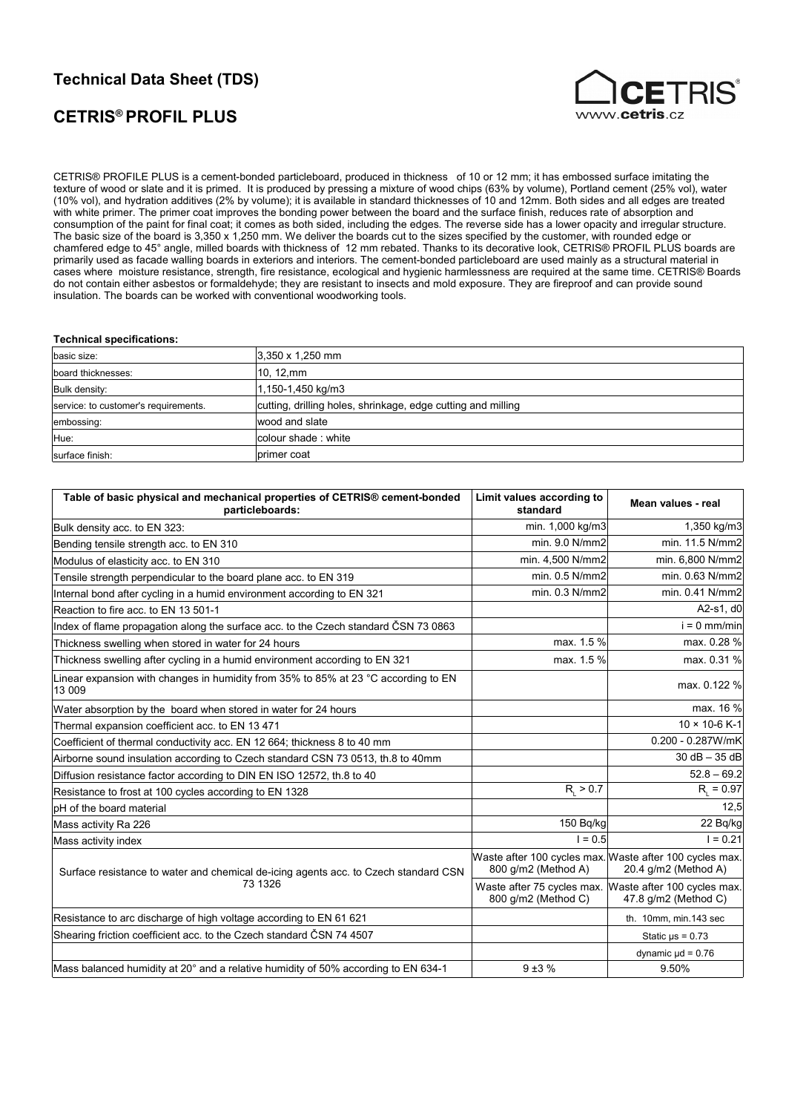# **Technical Data Sheet (TDS)**

## **CETRIS® PROFIL PLUS**



CETRIS® PROFILE PLUS is a cement-bonded particleboard, produced in thickness of 10 or 12 mm; it has embossed surface imitating the texture of wood or slate and it is primed. It is produced by pressing a mixture of wood chips (63% by volume), Portland cement (25% vol), water (10% vol), and hydration additives (2% by volume); it is available in standard thicknesses of 10 and 12mm. Both sides and all edges are treated with white primer. The primer coat improves the bonding power between the board and the surface finish, reduces rate of absorption and consumption of the paint for final coat; it comes as both sided, including the edges. The reverse side has a lower opacity and irregular structure. The basic size of the board is 3,350 x 1,250 mm. We deliver the boards cut to the sizes specified by the customer, with rounded edge or chamfered edge to 45° angle, milled boards with thickness of 12 mm rebated. Thanks to its decorative look, CETRIS® PROFIL PLUS boards are primarily used as facade walling boards in exteriors and interiors. The cement-bonded particleboard are used mainly as a structural material in cases where moisture resistance, strength, fire resistance, ecological and hygienic harmlessness are required at the same time. CETRIS® Boards do not contain either asbestos or formaldehyde; they are resistant to insects and mold exposure. They are fireproof and can provide sound insulation. The boards can be worked with conventional woodworking tools.

#### **Technical specifications:**

| basic size:                          | 3,350 x 1,250 mm                                             |
|--------------------------------------|--------------------------------------------------------------|
| board thicknesses:                   | 10, 12,mm                                                    |
| Bulk density:                        | 1,150-1,450 kg/m3                                            |
| service: to customer's requirements. | cutting, drilling holes, shrinkage, edge cutting and milling |
| embossing:                           | wood and slate                                               |
| Hue:                                 | colour shade: white                                          |
| surface finish:                      | primer coat                                                  |

| Table of basic physical and mechanical properties of CETRIS® cement-bonded<br>particleboards: | Limit values according to<br>standard | Mean values - real                                                              |
|-----------------------------------------------------------------------------------------------|---------------------------------------|---------------------------------------------------------------------------------|
| Bulk density acc. to EN 323:                                                                  | min. 1,000 kg/m3                      | 1,350 kg/m3                                                                     |
| Bending tensile strength acc. to EN 310                                                       | min. 9.0 N/mm2                        | min. 11.5 N/mm2                                                                 |
| Modulus of elasticity acc. to EN 310                                                          | min. 4,500 N/mm2                      | min. 6,800 N/mm2                                                                |
| Tensile strength perpendicular to the board plane acc. to EN 319                              | min. 0.5 N/mm2                        | min. 0.63 N/mm2                                                                 |
| Internal bond after cycling in a humid environment according to EN 321                        | min. 0.3 N/mm2                        | min. 0.41 N/mm2                                                                 |
| Reaction to fire acc. to EN 13 501-1                                                          |                                       | A2-s1, d0                                                                       |
| Index of flame propagation along the surface acc. to the Czech standard ČSN 73 0863           |                                       | $i = 0$ mm/min                                                                  |
| Thickness swelling when stored in water for 24 hours                                          | max. 1.5 %                            | max. 0.28 %                                                                     |
| Thickness swelling after cycling in a humid environment according to EN 321                   | max. 1.5 %                            | max. 0.31 %                                                                     |
| Linear expansion with changes in humidity from 35% to 85% at 23 °C according to EN<br>13 009  |                                       | max. 0.122 %                                                                    |
| Water absorption by the board when stored in water for 24 hours                               |                                       | max. 16 %                                                                       |
| Thermal expansion coefficient acc. to EN 13 471                                               |                                       | 10 × 10-6 K-1                                                                   |
| Coefficient of thermal conductivity acc. EN 12 664; thickness 8 to 40 mm                      |                                       | 0.200 - 0.287W/mK                                                               |
| Airborne sound insulation according to Czech standard CSN 73 0513, th.8 to 40mm               |                                       | $30 dB - 35 dB$                                                                 |
| Diffusion resistance factor according to DIN EN ISO 12572, th.8 to 40                         |                                       | $52.8 - 69.2$                                                                   |
| Resistance to frost at 100 cycles according to EN 1328                                        | $R_i > 0.7$                           | $R_1 = 0.97$                                                                    |
| pH of the board material                                                                      |                                       | 12,5                                                                            |
| Mass activity Ra 226                                                                          | 150 Bg/kg                             | 22 Bq/kg                                                                        |
| Mass activity index                                                                           | $1 = 0.5$                             | $1 = 0.21$                                                                      |
| Surface resistance to water and chemical de-icing agents acc. to Czech standard CSN           | 800 g/m2 (Method A)                   | Waste after 100 cycles max. Waste after 100 cycles max.<br>20.4 g/m2 (Method A) |
| 73 1326                                                                                       | 800 g/m2 (Method C)                   | Waste after 75 cycles max. Waste after 100 cycles max.<br>47.8 g/m2 (Method C)  |
| Resistance to arc discharge of high voltage according to EN 61 621                            |                                       | th. 10mm, min.143 sec                                                           |
| Shearing friction coefficient acc. to the Czech standard ČSN 74 4507                          |                                       | Static $\mu s = 0.73$                                                           |
|                                                                                               |                                       | dynamic $\mu$ d = 0.76                                                          |
| Mass balanced humidity at 20° and a relative humidity of 50% according to EN 634-1            | $9 + 3%$                              | 9.50%                                                                           |